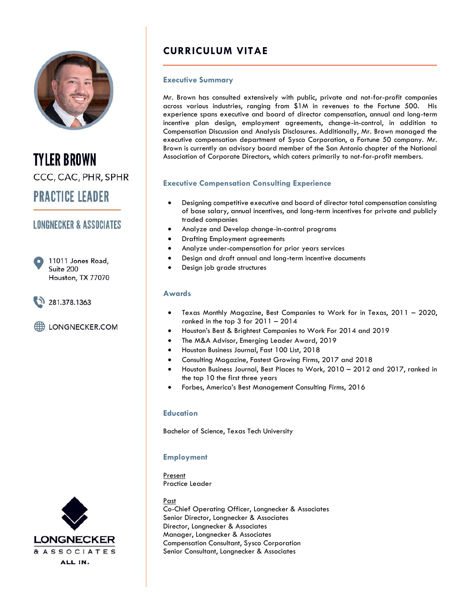

**TYLER BROWN** CCC, CAC, PHR, SPHR **PRACTICE LEADER** 

# **LONGNECKER & ASSOCIATES**

11011 Jones Road, Suite 200 Houston, TX 77070

281.378.1363

LONGNECKER.COM

# **CURRICULUM VITAE**

#### **Executive Summary**

Mr. Brown has consulted extensively with public, private and not-for-profit companies across various industries, ranging from \$1M in revenues to the Fortune 500. His experience spans executive and board of director compensation, annual and long-term incentive plan design, employment agreements, change-in-control, in addition to Compensation Discussion and Analysis Disclosures. Additionally, Mr. Brown managed the executive compensation department of Sysco Corporation, a Fortune 50 company. Mr. Brown is currently an advisory board member of the San Antonio chapter of the National Association of Corporate Directors, which caters primarily to not-for-profit members.

#### **Executive Compensation Consulting Experience**

- Designing competitive executive and board of director total compensation consisting of base salary, annual incentives, and long-term incentives for private and publicly traded companies
- Analyze and Develop change-in-control programs
- Drafting Employment agreements
- Analyze under-compensation for prior years services
- Design and draft annual and long-term incentive documents
- Design job grade structures

#### **Awards**

- Texas Monthly Magazine, Best Companies to Work for in Texas, 2011 2020, ranked in the top  $3$  for  $2011 - 2014$
- Houston's Best & Brightest Companies to Work For 2014 and 2019
- The M&A Advisor, Emerging Leader Award, 2019
- Houston Business Journal, Fast 100 List, 2018
- Consulting Magazine, Fastest Growing Firms, 2017 and 2018
- Houston Business Journal, Best Places to Work, 2010 2012 and 2017, ranked in the top 10 the first three years
- Forbes, America's Best Management Consulting Firms, 2016

#### **Education**

Bachelor of Science, Texas Tech University

### **Employment**

Present Practice Leader

Past Co-Chief Operating Officer, Longnecker & Associates Senior Director, Longnecker & Associates Director, Longnecker & Associates Manager, Longnecker & Associates Compensation Consultant, Sysco Corporation Senior Consultant, Longnecker & Associates

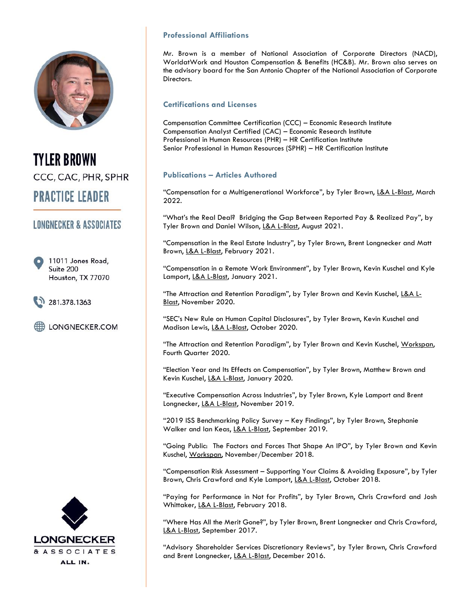

**TYLER BROWN** CCC, CAC, PHR, SPHR **PRACTICE LEADER** 

# **LONGNECKER & ASSOCIATES**

11011 Jones Road, Suite 200 Houston, TX 77070

281.378.1363

LONGNECKER.COM



## **Professional Affiliations**

Mr. Brown is a member of National Association of Corporate Directors (NACD), WorldatWork and Houston Compensation & Benefits (HC&B). Mr. Brown also serves on the advisory board for the San Antonio Chapter of the National Association of Corporate Directors.

### **Certifications and Licenses**

Compensation Committee Certification (CCC) – Economic Research Institute Compensation Analyst Certified (CAC) – Economic Research Institute Professional in Human Resources (PHR) – HR Certification Institute Senior Professional in Human Resources (SPHR) – HR Certification Institute

## **Publications – Articles Authored**

"Compensation for a Multigenerational Workforce", by Tyler Brown, L&A L-Blast, March 2022.

"What's the Real Deal? Bridging the Gap Between Reported Pay & Realized Pay", by Tyler Brown and Daniel Wilson, L&A L-Blast, August 2021.

"Compensation in the Real Estate Industry", by Tyler Brown, Brent Longnecker and Matt Brown, L&A L-Blast, February 2021.

"Compensation in a Remote Work Environment", by Tyler Brown, Kevin Kuschel and Kyle Lamport, L&A L-Blast, January 2021.

"The Attraction and Retention Paradigm", by Tyler Brown and Kevin Kuschel, L&A L-Blast, November 2020.

"SEC's New Rule on Human Capital Disclosures", by Tyler Brown, Kevin Kuschel and Madison Lewis, L&A L-Blast, October 2020.

"The Attraction and Retention Paradigm", by Tyler Brown and Kevin Kuschel, Workspan, Fourth Quarter 2020.

"Election Year and Its Effects on Compensation", by Tyler Brown, Matthew Brown and Kevin Kuschel, L&A L-Blast, January 2020.

"Executive Compensation Across Industries", by Tyler Brown, Kyle Lamport and Brent Longnecker, L&A L-Blast, November 2019.

"2019 ISS Benchmarking Policy Survey – Key Findings", by Tyler Brown, Stephanie Walker and Ian Keas, L&A L-Blast, September 2019.

"Going Public: The Factors and Forces That Shape An IPO", by Tyler Brown and Kevin Kuschel, Workspan, November/December 2018.

"Compensation Risk Assessment – Supporting Your Claims & Avoiding Exposure", by Tyler Brown, Chris Crawford and Kyle Lamport, L&A L-Blast, October 2018.

"Paying for Performance in Not for Profits", by Tyler Brown, Chris Crawford and Josh Whittaker, L&A L-Blast, February 2018.

"Where Has All the Merit Gone?", by Tyler Brown, Brent Longnecker and Chris Crawford, L&A L-Blast, September 2017.

"Advisory Shareholder Services Discretionary Reviews", by Tyler Brown, Chris Crawford and Brent Longnecker, L&A L-Blast, December 2016.